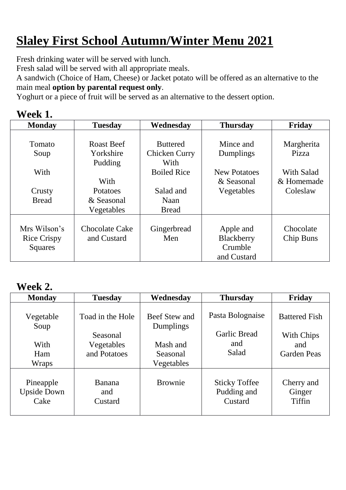## **Slaley First School Autumn/Winter Menu 2021**

Fresh drinking water will be served with lunch.

Fresh salad will be served with all appropriate meals.

A sandwich (Choice of Ham, Cheese) or Jacket potato will be offered as an alternative to the main meal **option by parental request only**.

Yoghurt or a piece of fruit will be served as an alternative to the dessert option.

| V ( | $\mathbf k$<br>eel |  |
|-----|--------------------|--|
|     |                    |  |

| <b>Monday</b>      | <b>Tuesday</b>        | Wednesday          | <b>Thursday</b>     | Friday     |
|--------------------|-----------------------|--------------------|---------------------|------------|
|                    |                       |                    |                     |            |
| Tomato             | <b>Roast Beef</b>     | <b>Buttered</b>    | Mince and           | Margherita |
| Soup               | Yorkshire             | Chicken Curry      | Dumplings           | Pizza      |
|                    | Pudding               | With               |                     |            |
| With               |                       | <b>Boiled Rice</b> | <b>New Potatoes</b> | With Salad |
|                    | With                  |                    | & Seasonal          | & Homemade |
| Crusty             | Potatoes              | Salad and          | Vegetables          | Coleslaw   |
| <b>Bread</b>       | & Seasonal            | Naan               |                     |            |
|                    | Vegetables            | <b>Bread</b>       |                     |            |
|                    |                       |                    |                     |            |
| Mrs Wilson's       | <b>Chocolate Cake</b> | Gingerbread        | Apple and           | Chocolate  |
| <b>Rice Crispy</b> | and Custard           | Men                | Blackberry          | Chip Buns  |
| <b>Squares</b>     |                       |                    | Crumble             |            |
|                    |                       |                    | and Custard         |            |

## **Week 2.**

| <b>Monday</b>                             | <b>Tuesday</b>                                             | Wednesday                                                        | <b>Thursday</b>                                         | Friday                                                          |
|-------------------------------------------|------------------------------------------------------------|------------------------------------------------------------------|---------------------------------------------------------|-----------------------------------------------------------------|
| Vegetable<br>Soup<br>With<br>Ham<br>Wraps | Toad in the Hole<br>Seasonal<br>Vegetables<br>and Potatoes | Beef Stew and<br>Dumplings<br>Mash and<br>Seasonal<br>Vegetables | Pasta Bolognaise<br><b>Garlic Bread</b><br>and<br>Salad | <b>Battered Fish</b><br>With Chips<br>and<br><b>Garden Peas</b> |
| Pineapple<br><b>Upside Down</b><br>Cake   | <b>Banana</b><br>and<br>Custard                            | <b>Brownie</b>                                                   | <b>Sticky Toffee</b><br>Pudding and<br>Custard          | Cherry and<br>Ginger<br>Tiffin                                  |